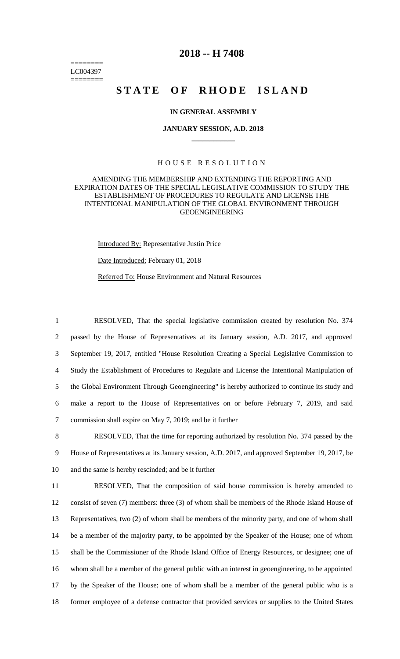======== LC004397 ========

# **2018 -- H 7408**

# **STATE OF RHODE ISLAND**

# **IN GENERAL ASSEMBLY**

#### **JANUARY SESSION, A.D. 2018 \_\_\_\_\_\_\_\_\_\_\_\_**

### H O U S E R E S O L U T I O N

# AMENDING THE MEMBERSHIP AND EXTENDING THE REPORTING AND EXPIRATION DATES OF THE SPECIAL LEGISLATIVE COMMISSION TO STUDY THE ESTABLISHMENT OF PROCEDURES TO REGULATE AND LICENSE THE INTENTIONAL MANIPULATION OF THE GLOBAL ENVIRONMENT THROUGH GEOENGINEERING

Introduced By: Representative Justin Price Date Introduced: February 01, 2018

Referred To: House Environment and Natural Resources

 RESOLVED, That the special legislative commission created by resolution No. 374 passed by the House of Representatives at its January session, A.D. 2017, and approved September 19, 2017, entitled "House Resolution Creating a Special Legislative Commission to Study the Establishment of Procedures to Regulate and License the Intentional Manipulation of the Global Environment Through Geoengineering" is hereby authorized to continue its study and make a report to the House of Representatives on or before February 7, 2019, and said commission shall expire on May 7, 2019; and be it further

8 RESOLVED, That the time for reporting authorized by resolution No. 374 passed by the 9 House of Representatives at its January session, A.D. 2017, and approved September 19, 2017, be 10 and the same is hereby rescinded; and be it further

 RESOLVED, That the composition of said house commission is hereby amended to consist of seven (7) members: three (3) of whom shall be members of the Rhode Island House of Representatives, two (2) of whom shall be members of the minority party, and one of whom shall be a member of the majority party, to be appointed by the Speaker of the House; one of whom shall be the Commissioner of the Rhode Island Office of Energy Resources, or designee; one of whom shall be a member of the general public with an interest in geoengineering, to be appointed by the Speaker of the House; one of whom shall be a member of the general public who is a former employee of a defense contractor that provided services or supplies to the United States